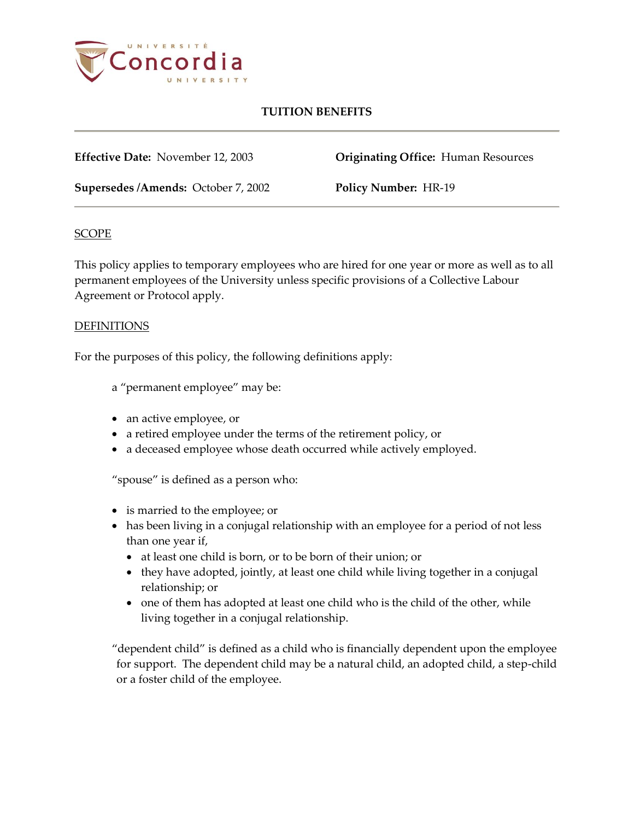

# **TUITION BENEFITS**

**Effective Date:** November 12, 2003 **Originating Office:** Human Resources

**Supersedes /Amends:** October 7, 2002 **Policy Number:** HR-19

## **SCOPE**

This policy applies to temporary employees who are hired for one year or more as well as to all permanent employees of the University unless specific provisions of a Collective Labour Agreement or Protocol apply.

## DEFINITIONS

For the purposes of this policy, the following definitions apply:

a "permanent employee" may be:

- an active employee, or
- a retired employee under the terms of the retirement policy, or
- a deceased employee whose death occurred while actively employed.

"spouse" is defined as a person who:

- is married to the employee; or
- has been living in a conjugal relationship with an employee for a period of not less than one year if,
	- at least one child is born, or to be born of their union; or
	- they have adopted, jointly, at least one child while living together in a conjugal relationship; or
	- one of them has adopted at least one child who is the child of the other, while living together in a conjugal relationship.

"dependent child" is defined as a child who is financially dependent upon the employee for support. The dependent child may be a natural child, an adopted child, a step-child or a foster child of the employee.